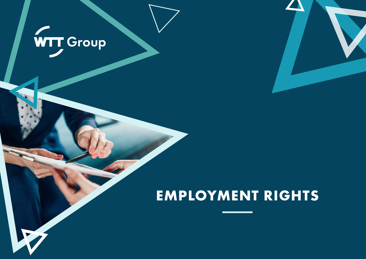

## **EMPLOYMENT RIGHTS**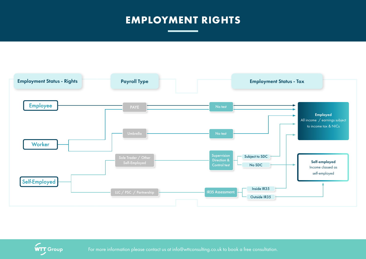## **EMPLOYMENT RIGHTS**





**WTT Group** For more information please contact us at info@wttconsulting.co.uk to book a free consultation.